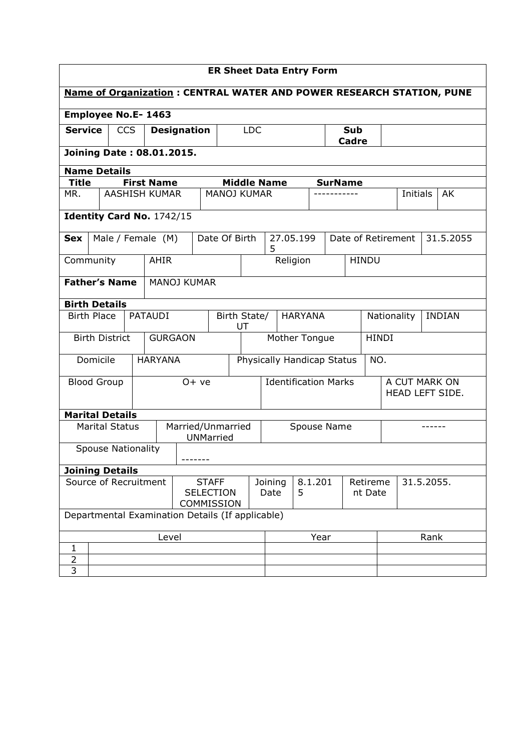| <b>ER Sheet Data Entry Form</b>                                             |                    |                           |                                  |                                                  |  |                                                        |                                      |                    |   |            |           |                |              |              |      |                                  |               |           |
|-----------------------------------------------------------------------------|--------------------|---------------------------|----------------------------------|--------------------------------------------------|--|--------------------------------------------------------|--------------------------------------|--------------------|---|------------|-----------|----------------|--------------|--------------|------|----------------------------------|---------------|-----------|
| <b>Name of Organization: CENTRAL WATER AND POWER RESEARCH STATION, PUNE</b> |                    |                           |                                  |                                                  |  |                                                        |                                      |                    |   |            |           |                |              |              |      |                                  |               |           |
|                                                                             |                    |                           |                                  | <b>Employee No.E-1463</b>                        |  |                                                        |                                      |                    |   |            |           |                |              |              |      |                                  |               |           |
| <b>Service</b><br><b>CCS</b>                                                |                    |                           | <b>Designation</b><br><b>LDC</b> |                                                  |  |                                                        | Sub<br><b>Cadre</b>                  |                    |   |            |           |                |              |              |      |                                  |               |           |
| <b>Joining Date: 08.01.2015.</b>                                            |                    |                           |                                  |                                                  |  |                                                        |                                      |                    |   |            |           |                |              |              |      |                                  |               |           |
| <b>Name Details</b>                                                         |                    |                           |                                  |                                                  |  |                                                        |                                      |                    |   |            |           |                |              |              |      |                                  |               |           |
| <b>Title</b>                                                                |                    |                           |                                  | <b>First Name</b>                                |  |                                                        |                                      | <b>Middle Name</b> |   |            |           | <b>SurName</b> |              |              |      |                                  |               |           |
| MR.                                                                         |                    |                           |                                  | <b>AASHISH KUMAR</b>                             |  |                                                        | <b>MANOJ KUMAR</b>                   |                    |   |            |           |                |              |              |      | <b>Initials</b>                  |               | AK        |
|                                                                             |                    |                           |                                  | Identity Card No. 1742/15                        |  |                                                        |                                      |                    |   |            |           |                |              |              |      |                                  |               |           |
| Sex                                                                         |                    |                           |                                  | Male / Female (M)                                |  |                                                        | Date Of Birth                        |                    | 5 |            | 27.05.199 |                |              |              |      | Date of Retirement               |               | 31.5.2055 |
| Community                                                                   |                    |                           |                                  | <b>AHIR</b>                                      |  |                                                        |                                      |                    |   |            | Religion  |                |              | <b>HINDU</b> |      |                                  |               |           |
| <b>Father's Name</b>                                                        |                    |                           |                                  | <b>MANOJ KUMAR</b>                               |  |                                                        |                                      |                    |   |            |           |                |              |              |      |                                  |               |           |
| <b>Birth Details</b>                                                        |                    |                           |                                  |                                                  |  |                                                        |                                      |                    |   |            |           |                |              |              |      |                                  |               |           |
|                                                                             | <b>Birth Place</b> |                           |                                  | <b>PATAUDI</b>                                   |  |                                                        | Birth State/<br><b>HARYANA</b><br>UT |                    |   |            |           | Nationality    |              |              |      |                                  | <b>INDIAN</b> |           |
|                                                                             |                    | <b>Birth District</b>     |                                  | <b>GURGAON</b>                                   |  |                                                        | Mother Tongue                        |                    |   |            |           |                | <b>HINDI</b> |              |      |                                  |               |           |
|                                                                             | Domicile           |                           |                                  | <b>HARYANA</b>                                   |  |                                                        | Physically Handicap Status           |                    |   |            |           |                | NO.          |              |      |                                  |               |           |
|                                                                             | <b>Blood Group</b> |                           |                                  |                                                  |  | $0+ve$                                                 | <b>Identification Marks</b>          |                    |   |            |           |                |              |              |      | A CUT MARK ON<br>HEAD LEFT SIDE. |               |           |
| <b>Marital Details</b>                                                      |                    |                           |                                  |                                                  |  |                                                        |                                      |                    |   |            |           |                |              |              |      |                                  |               |           |
|                                                                             |                    | <b>Marital Status</b>     |                                  |                                                  |  | <b>UNMarried</b>                                       | Married/Unmarried<br>Spouse Name     |                    |   |            |           |                |              |              |      |                                  |               |           |
|                                                                             |                    | <b>Spouse Nationality</b> |                                  |                                                  |  |                                                        |                                      |                    |   |            |           |                |              |              |      |                                  |               |           |
| <b>Joining Details</b>                                                      |                    |                           |                                  |                                                  |  |                                                        |                                      |                    |   |            |           |                |              |              |      |                                  |               |           |
| Source of Recruitment<br><b>STAFF</b><br><b>SELECTION</b><br>COMMISSION     |                    |                           |                                  |                                                  |  | Joining<br>8.1.201<br>Retireme<br>Date<br>5<br>nt Date |                                      |                    |   | 31.5.2055. |           |                |              |              |      |                                  |               |           |
|                                                                             |                    |                           |                                  | Departmental Examination Details (If applicable) |  |                                                        |                                      |                    |   |            |           |                |              |              |      |                                  |               |           |
|                                                                             |                    |                           |                                  | Level                                            |  |                                                        |                                      |                    |   |            | Year      |                |              |              | Rank |                                  |               |           |
| 1<br>$\overline{2}$                                                         |                    |                           |                                  |                                                  |  |                                                        |                                      |                    |   |            |           |                |              |              |      |                                  |               |           |
| 3                                                                           |                    |                           |                                  |                                                  |  |                                                        |                                      |                    |   |            |           |                |              |              |      |                                  |               |           |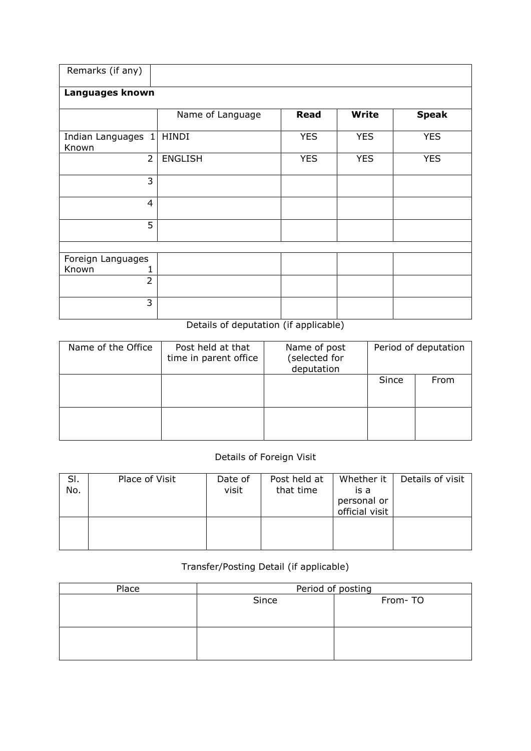| Remarks (if any)            |                  |             |              |              |
|-----------------------------|------------------|-------------|--------------|--------------|
| Languages known             |                  |             |              |              |
|                             | Name of Language | <b>Read</b> | <b>Write</b> | <b>Speak</b> |
| Indian Languages 1<br>Known | <b>HINDI</b>     | <b>YES</b>  | <b>YES</b>   | <b>YES</b>   |
| $\overline{2}$              | <b>ENGLISH</b>   | <b>YES</b>  | <b>YES</b>   | <b>YES</b>   |
| 3                           |                  |             |              |              |
| $\overline{4}$              |                  |             |              |              |
| 5                           |                  |             |              |              |
|                             |                  |             |              |              |
| Foreign Languages           |                  |             |              |              |
| Known                       |                  |             |              |              |
| $\overline{2}$              |                  |             |              |              |
| 3                           |                  |             |              |              |

## Details of deputation (if applicable)

| Name of the Office | Post held at that<br>time in parent office | Name of post<br>(selected for<br>deputation | Period of deputation |      |  |
|--------------------|--------------------------------------------|---------------------------------------------|----------------------|------|--|
|                    |                                            |                                             | Since                | From |  |
|                    |                                            |                                             |                      |      |  |

## Details of Foreign Visit

| SI.<br>No. | Place of Visit | Date of<br>visit | Post held at<br>that time | Whether it<br>is a<br>personal or<br>official visit | Details of visit |
|------------|----------------|------------------|---------------------------|-----------------------------------------------------|------------------|
|            |                |                  |                           |                                                     |                  |

## Transfer/Posting Detail (if applicable)

| Place | Period of posting |         |  |  |  |  |  |  |
|-------|-------------------|---------|--|--|--|--|--|--|
|       | Since             | From-TO |  |  |  |  |  |  |
|       |                   |         |  |  |  |  |  |  |
|       |                   |         |  |  |  |  |  |  |
|       |                   |         |  |  |  |  |  |  |
|       |                   |         |  |  |  |  |  |  |
|       |                   |         |  |  |  |  |  |  |